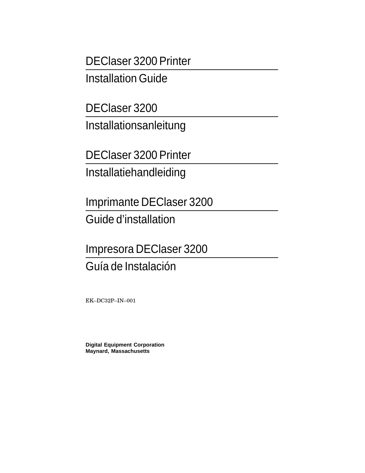DEClaser 3200 Printer

Installation Guide

DEClaser 3200

Installationsanleitung

DEClaser 3200 Printer

Installatiehandleiding

Imprimante DEClaser 3200

Guide d'installation

Impresora DEClaser 3200 Guía de Instalación

EK–DC32P–IN–001

**Digital Equipment Corporation Maynard, Massachusetts**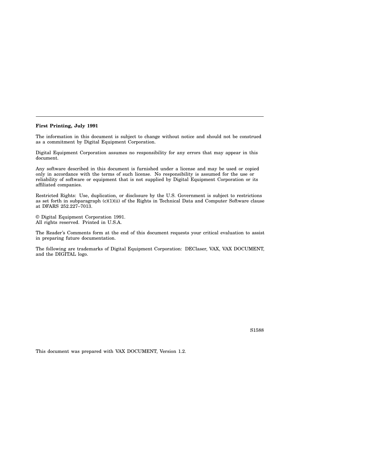## **First Printing, July 1991**

The information in this document is subject to change without notice and should not be construed as a commitment by Digital Equipment Corporation.

Digital Equipment Corporation assumes no responsibility for any errors that may appear in this document.

Any software described in this document is furnished under a license and may be used or copied only in accordance with the terms of such license. No responsibility is assumed for the use or reliability of software or equipment that is not supplied by Digital Equipment Corporation or its affiliated companies.

Restricted Rights: Use, duplication, or disclosure by the U.S. Government is subject to restrictions as set forth in subparagraph (c)(1)(ii) of the Rights in Technical Data and Computer Software clause at DFARS 252.227–7013.

© Digital Equipment Corporation 1991. All rights reserved. Printed in U.S.A.

The Reader's Comments form at the end of this document requests your critical evaluation to assist in preparing future documentation.

The following are trademarks of Digital Equipment Corporation: DEClaser, VAX, VAX DOCUMENT, and the DIGITAL logo.

S1588

This document was prepared with VAX DOCUMENT, Version 1.2.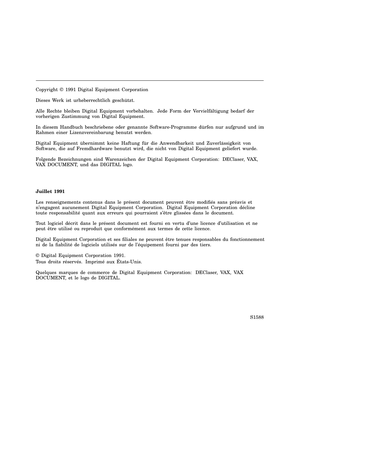Copyright © 1991 Digital Equipment Corporation

Dieses Werk ist urheberrechtlich geschützt.

Alle Rechte bleiben Digital Equipment vorbehalten. Jede Form der Vervielfältigung bedarf der vorherigen Zustimmung von Digital Equipment.

In diesem Handbuch beschriebene oder genannte Software-Programme dürfen nur aufgrund und im Rahmen einer Lizenzvereinbarung benutzt werden.

Digital Equipment übernimmt keine Haftung für die Anwendbarkeit und Zuverlässigkeit von Software, die auf Fremdhardware benutzt wird, die nicht von Digital Equipment geliefert wurde.

Folgende Bezeichnungen sind Warenzeichen der Digital Equipment Corporation: DEClaser, VAX, VAX DOCUMENT, und das DIGITAL logo.

## **Juillet 1991**

Les renseignements contenus dans le présent document peuvent être modifiés sans préavis et n'engagent aucunement Digital Equipment Corporation. Digital Equipment Corporation décline toute responsabilité quant aux erreurs qui pourraient s'être glissées dans le document.

Tout logiciel décrit dans le présent document est fourni en vertu d'une licence d'utilisation et ne peut être utilisé ou reproduit que conformément aux termes de cette licence.

Digital Equipment Corporation et ses filiales ne peuvent être tenues responsables du fonctionnement ni de la fiabilité de logiciels utilisés sur de l'équipement fourni par des tiers.

© Digital Equipment Corporation 1991. Tous droits réservés. Imprimé aux États-Unis.

Quelques marques de commerce de Digital Equipment Corporation: DEClaser, VAX, VAX DOCUMENT, et le logo de DIGITAL.

S1588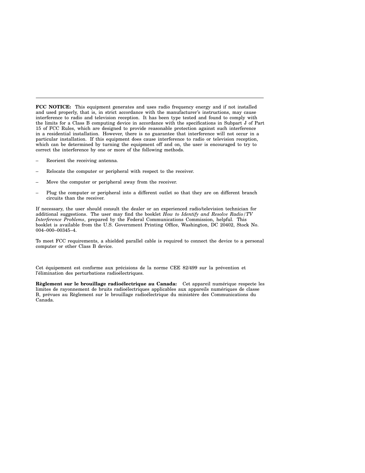**FCC NOTICE:** This equipment generates and uses radio frequency energy and if not installed and used properly, that is, in strict accordance with the manufacturer's instructions, may cause interference to radio and television reception. It has been type tested and found to comply with the limits for a Class B computing device in accordance with the specifications in Subpart J of Part 15 of FCC Rules, which are designed to provide reasonable protection against such interference in a residential installation. However, there is no guarantee that interference will not occur in a particular installation. If this equipment does cause interference to radio or television reception, which can be determined by turning the equipment off and on, the user is encouraged to try to correct the interference by one or more of the following methods.

- Reorient the receiving antenna.
- Relocate the computer or peripheral with respect to the receiver.
- Move the computer or peripheral away from the receiver.
- Plug the computer or peripheral into a different outlet so that they are on different branch circuits than the receiver.

If necessary, the user should consult the dealer or an experienced radio/television technician for additional suggestions. The user may find the booklet *How to Identify and Resolve Radio/TV Interference Problems*, prepared by the Federal Communications Commission, helpful. This booklet is available from the U.S. Government Printing Office, Washington, DC 20402, Stock No. 004–000–00345–4.

To meet FCC requirements, a shielded parallel cable is required to connect the device to a personal computer or other Class B device.

Cet équipement est conforme aux précisions de la norme CEE 82/499 sur la prévention et l'élimination des perturbations radioélectriques.

**Règlement sur le brouillage radioélectrique au Canada:** Cet appareil numérique respecte les limites de rayonnement de bruits radioélectriques applicables aux appareils numériques de classe B, prévues au Règlement sur le brouillage radioélectrique du ministère des Communications du Canada.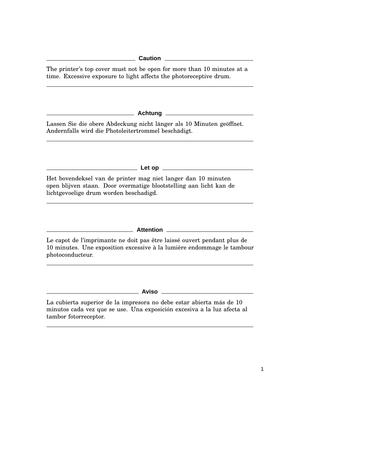The printer's top cover must not be open for more than 10 minutes at a time. Excessive exposure to light affects the photoreceptive drum.

**Achtung**

Lassen Sie die obere Abdeckung nicht länger als 10 Minuten geöffnet. Andernfalls wird die Photoleitertrommel beschädigt.

**Let op**

Het bovendeksel van de printer mag niet langer dan 10 minuten open blijven staan. Door overmatige blootstelling aan licht kan de lichtgevoelige drum worden beschadigd.

**Attention**

Le capot de l'imprimante ne doit pas être laissé ouvert pendant plus de 10 minutes. Une exposition excessive à la lumière endommage le tambour photoconducteur.

**Aviso**

1

La cubierta superior de la impresora no debe estar abierta más de 10 minutos cada vez que se use. Una exposición excesiva a la luz afecta al tambor fotorreceptor.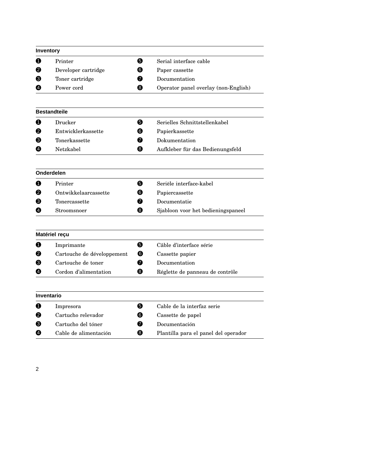|   | Inventory                  |   |                                      |
|---|----------------------------|---|--------------------------------------|
| O | Printer                    | 6 | Serial interface cable               |
| 2 | Developer cartridge        | ❺ | Paper cassette                       |
| ❸ | Toner cartridge            | ❼ | Documentation                        |
| ❹ | Power cord                 | ❸ | Operator panel overlay (non-English) |
|   | <b>Bestandteile</b>        |   |                                      |
| O | Drucker                    | 6 | Serielles Schnittstellenkabel        |
| Ø | Entwicklerkassette         | 6 | Papierkassette                       |
| ❸ | Tonerkassette              | ❼ | Dokumentation                        |
| ❹ | Netzkabel                  | ❸ | Aufkleber für das Bedienungsfeld     |
|   | Onderdelen                 |   |                                      |
| 0 | Printer                    | 6 | Seriële interface-kabel              |
| 9 | Ontwikkelaarcassette       | 6 | Papiercassette                       |
| Յ | Tonercassette              | ❼ | Documentatie                         |
| ❹ | Stroomsnoer                | ❸ | Sjabloon voor het bedieningspaneel   |
|   | Matériel reçu              |   |                                      |
| O | Imprimante                 | ❺ | Câble d'interface série              |
| Ø | Cartouche de développement | ❻ | Cassette papier                      |
| Յ | Cartouche de toner         | ⋒ | Documentation                        |
| Ø | Cordon d'alimentation      | ❸ | Réglette de panneau de contrôle      |
|   | Inventario                 |   |                                      |
| 0 | Impresora                  | ❺ | Cable de la interfaz serie           |
| 0 | Cartucho relevador         | 6 | Cassette de papel                    |
| € | Cartucho del tóner         | 0 | Documentación                        |
| Ø | Cable de alimentación      | ❸ | Plantilla para el panel del operador |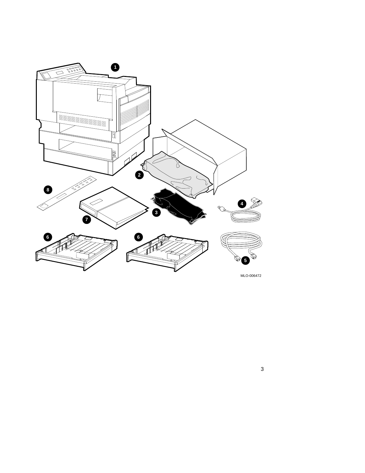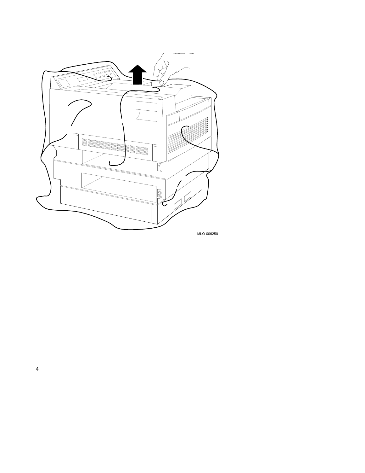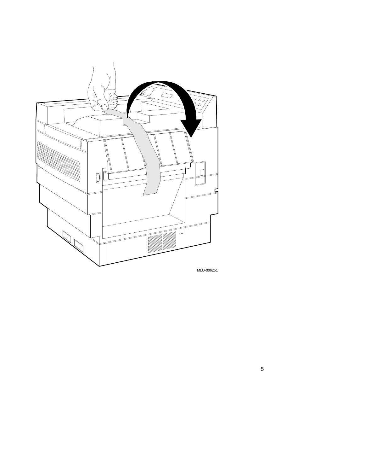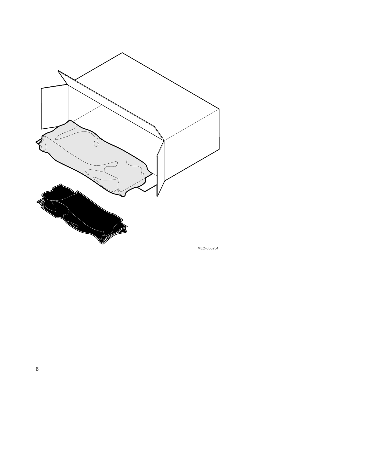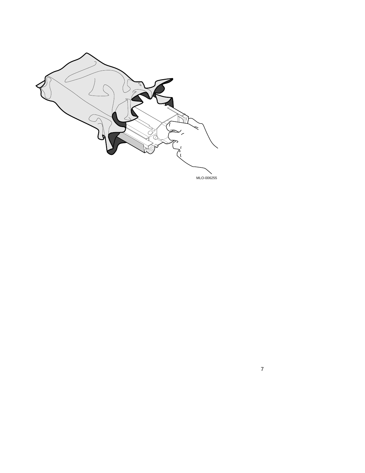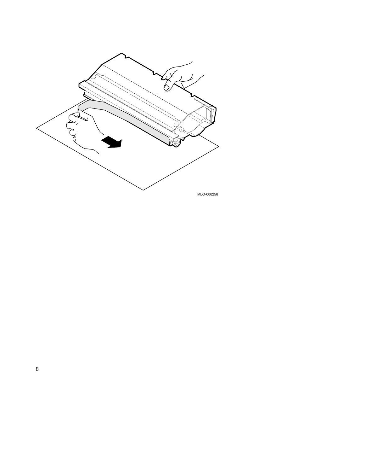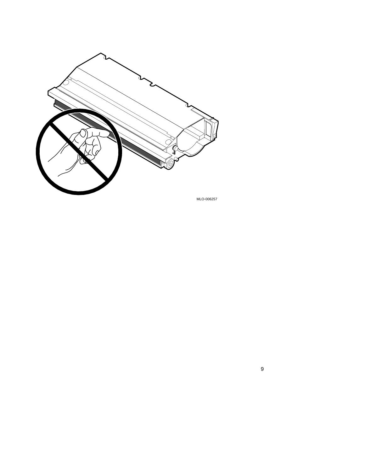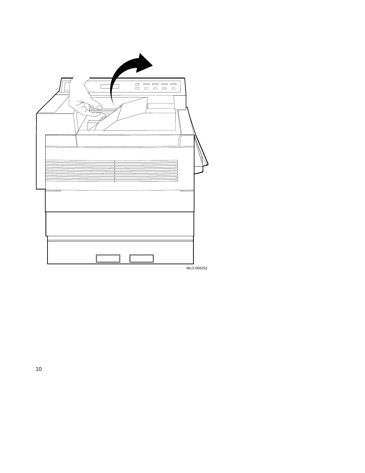| $\Box \quad \Box \quad \Box \quad \Box \quad \Box$<br>$\Box$<br>$\Box$ $\Box$<br>$\Box$<br>$\Box$ |            |
|---------------------------------------------------------------------------------------------------|------------|
|                                                                                                   | MLO-006252 |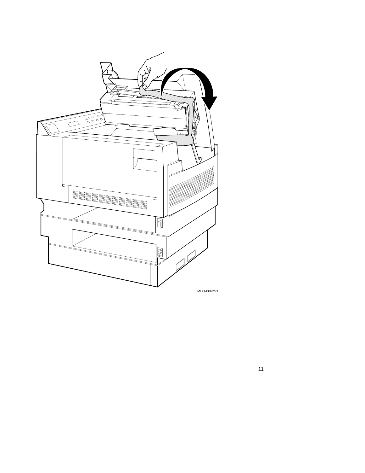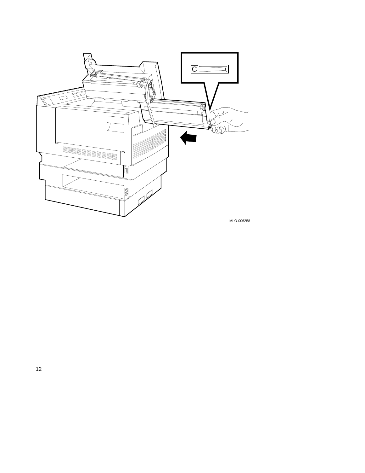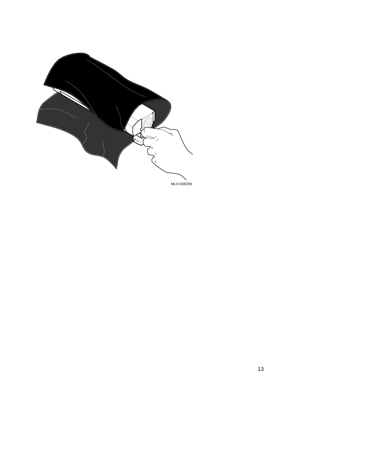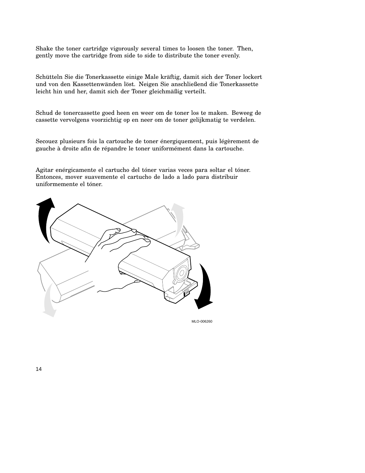Shake the toner cartridge vigorously several times to loosen the toner. Then, gently move the cartridge from side to side to distribute the toner evenly.

Schütteln Sie die Tonerkassette einige Male kräftig, damit sich der Toner lockert und von den Kassettenwänden löst. Neigen Sie anschließend die Tonerkassette leicht hin und her, damit sich der Toner gleichmäßig verteilt.

Schud de tonercassette goed heen en weer om de toner los te maken. Beweeg de cassette vervolgens voorzichtig op en neer om de toner gelijkmatig te verdelen.

Secouez plusieurs fois la cartouche de toner énergiquement, puis légèrement de gauche à droite afin de répandre le toner uniformément dans la cartouche.

Agitar enérgicamente el cartucho del tóner varias veces para soltar el tóner. Entonces, mover suavemente el cartucho de lado a lado para distribuir uniformemente el tóner.



MLO-006260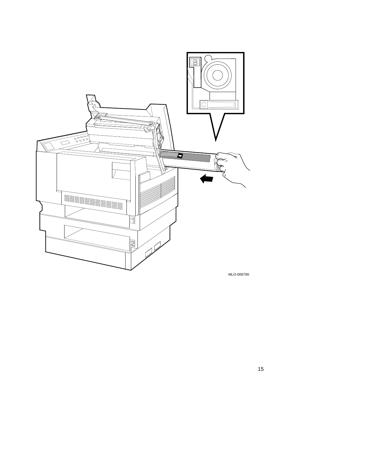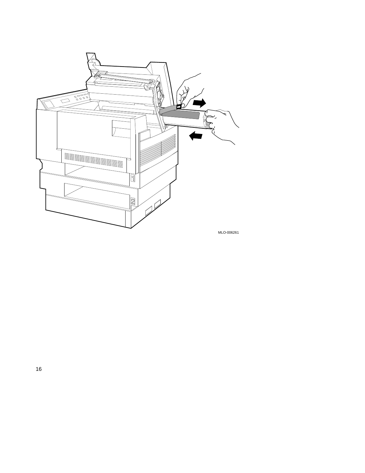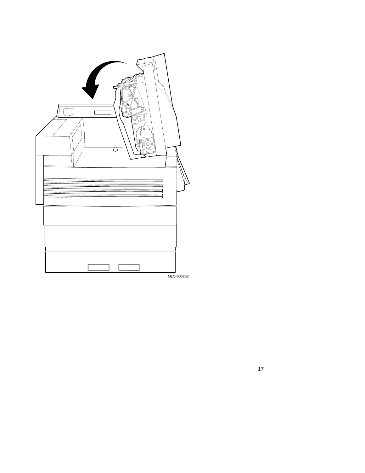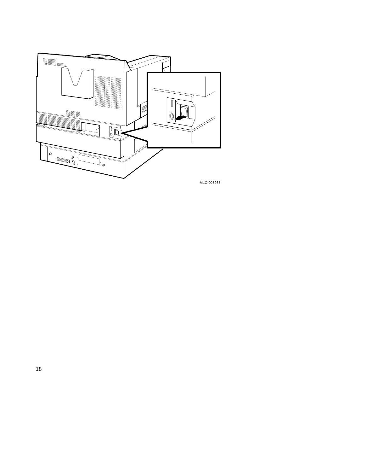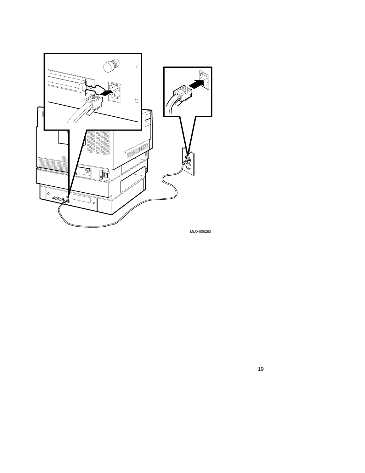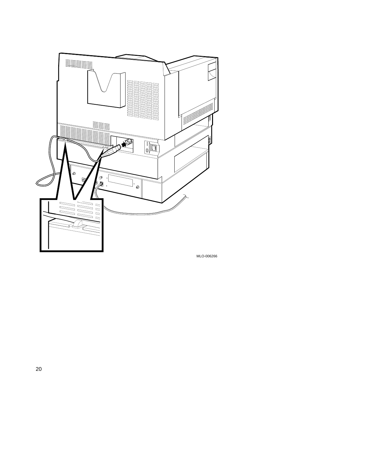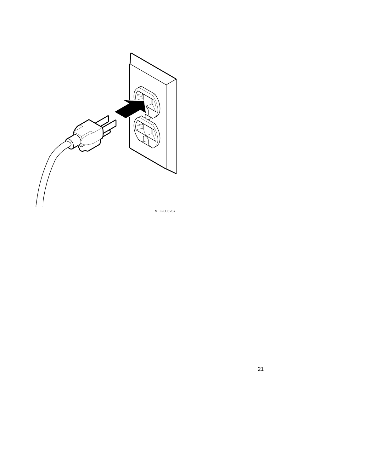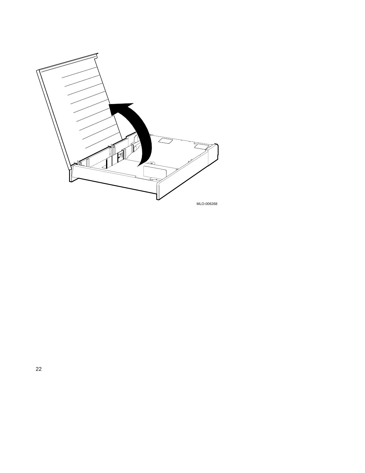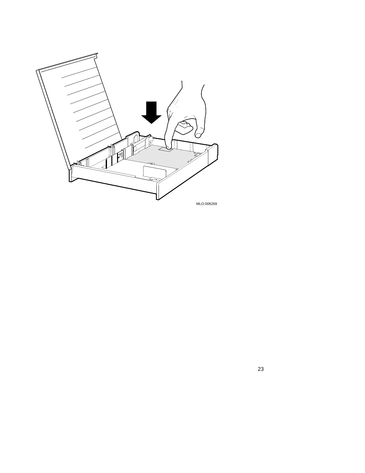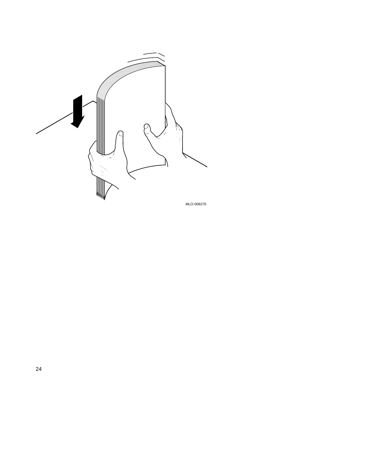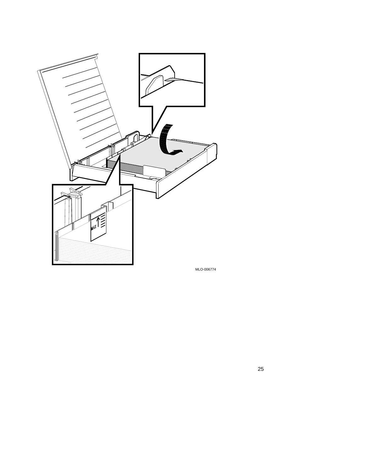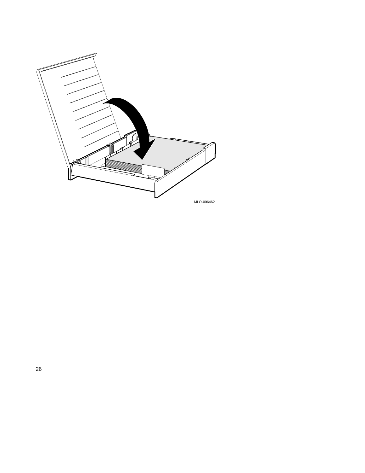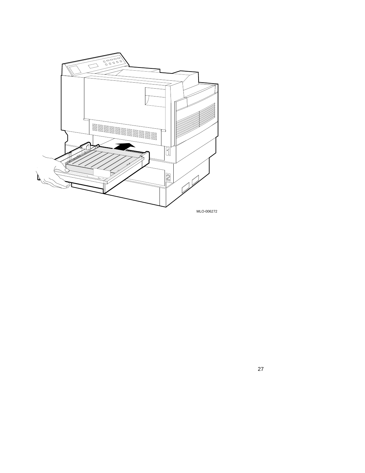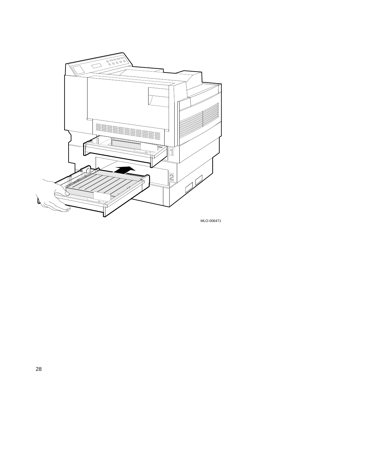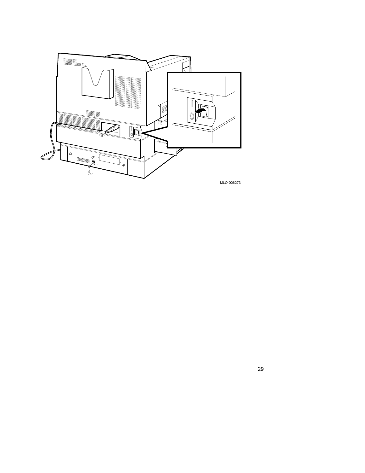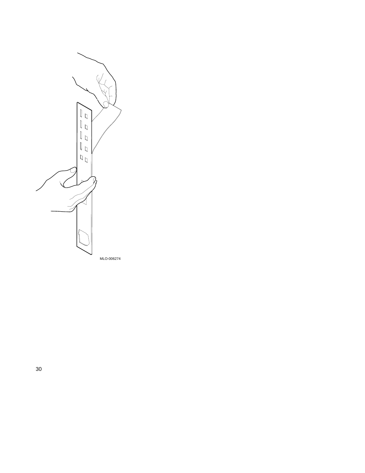